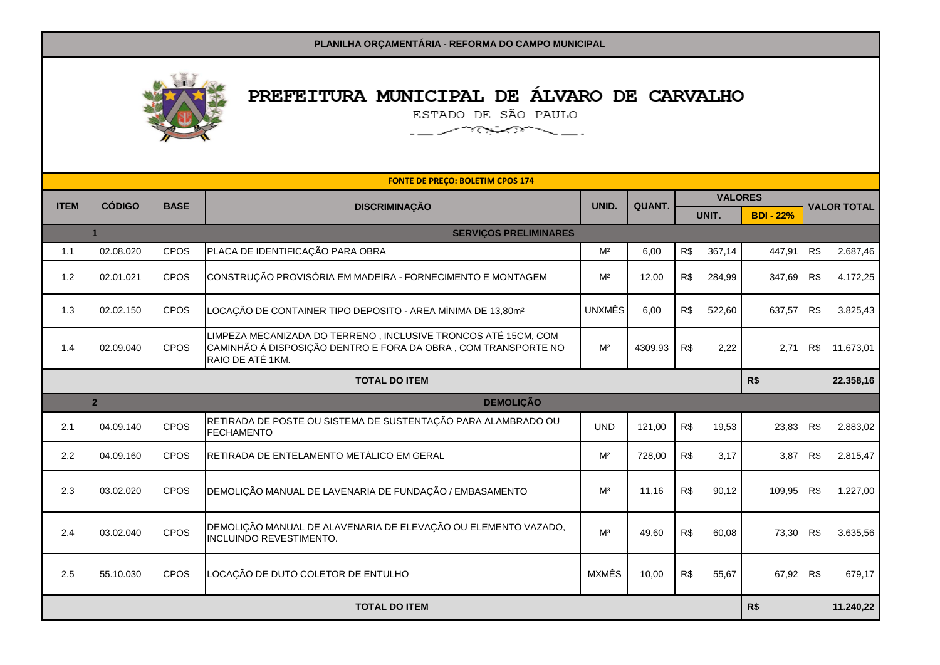

## PREFEITURA MUNICIPAL DE ÁLVARO DE CARVALHO

ESTADO DE SÃO PAULO 

|                      |                                                      |             | <b>FONTE DE PREÇO: BOLETIM CPOS 174</b>                                                                                                               |                |              |                |           |                  |                    |           |
|----------------------|------------------------------------------------------|-------------|-------------------------------------------------------------------------------------------------------------------------------------------------------|----------------|--------------|----------------|-----------|------------------|--------------------|-----------|
| <b>ITEM</b>          | <b>CÓDIGO</b>                                        | <b>BASE</b> | <b>DISCRIMINAÇÃO</b>                                                                                                                                  | UNID.          | <b>QUANT</b> | <b>VALORES</b> |           |                  |                    |           |
|                      |                                                      |             |                                                                                                                                                       |                |              |                | UNIT.     | <b>BDI - 22%</b> | <b>VALOR TOTAL</b> |           |
|                      | <b>SERVIÇOS PRELIMINARES</b><br>$\blacktriangleleft$ |             |                                                                                                                                                       |                |              |                |           |                  |                    |           |
| 1.1                  | 02.08.020                                            | CPOS        | PLACA DE IDENTIFICAÇÃO PARA OBRA                                                                                                                      | M <sup>2</sup> | 6,00         | R\$            | 367,14    | 447,91           | R\$                | 2.687,46  |
| 1.2                  | 02.01.021                                            | CPOS        | CONSTRUÇÃO PROVISÓRIA EM MADEIRA - FORNECIMENTO E MONTAGEM                                                                                            | M <sup>2</sup> | 12,00        | R\$            | 284,99    | 347,69           | R\$                | 4.172,25  |
| 1.3                  | 02.02.150                                            | CPOS        | LOCAÇÃO DE CONTAINER TIPO DEPOSITO - AREA MÍNIMA DE 13,80m <sup>2</sup>                                                                               | <b>UNXMÊS</b>  | 6.00         | R\$            | 522.60    | 637,57           | R\$                | 3.825,43  |
| 1.4                  | 02.09.040                                            | CPOS        | LIMPEZA MECANIZADA DO TERRENO, INCLUSIVE TRONCOS ATÉ 15CM, COM<br>CAMINHÃO À DISPOSIÇÃO DENTRO E FORA DA OBRA , COM TRANSPORTE NO<br>RAIO DE ATÉ 1KM. | M <sup>2</sup> | 4309,93      | R\$            | 2,22      | 2,71             | R\$                | 11.673.01 |
|                      | R\$<br><b>TOTAL DO ITEM</b>                          |             |                                                                                                                                                       |                |              |                | 22.358,16 |                  |                    |           |
|                      | <b>DEMOLIÇÃO</b><br>2 <sup>2</sup>                   |             |                                                                                                                                                       |                |              |                |           |                  |                    |           |
| 2.1                  | 04.09.140                                            | CPOS        | RETIRADA DE POSTE OU SISTEMA DE SUSTENTAÇÃO PARA ALAMBRADO OU<br><b>FECHAMENTO</b>                                                                    | <b>UND</b>     | 121,00       | R\$            | 19,53     | 23,83            | R\$                | 2.883,02  |
| 2.2                  | 04.09.160                                            | <b>CPOS</b> | RETIRADA DE ENTELAMENTO METÁLICO EM GERAL                                                                                                             | M <sup>2</sup> | 728,00       | R\$            | 3,17      | 3,87             | R\$                | 2.815,47  |
| 2.3                  | 03.02.020                                            | CPOS        | DEMOLIÇÃO MANUAL DE LAVENARIA DE FUNDAÇÃO / EMBASAMENTO                                                                                               | M <sup>3</sup> | 11.16        | R\$            | 90,12     | 109,95           | R\$                | 1.227,00  |
| 2.4                  | 03.02.040                                            | CPOS        | DEMOLIÇÃO MANUAL DE ALAVENARIA DE ELEVAÇÃO OU ELEMENTO VAZADO,<br><b>INCLUINDO REVESTIMENTO.</b>                                                      | M <sup>3</sup> | 49,60        | R\$            | 60,08     | 73,30            | R\$                | 3.635,56  |
| 2.5                  | 55.10.030                                            | CPOS        | LOCAÇÃO DE DUTO COLETOR DE ENTULHO                                                                                                                    | <b>MXMÊS</b>   | 10,00        | R\$            | 55,67     | 67,92            | R\$                | 679,17    |
| <b>TOTAL DO ITEM</b> |                                                      |             |                                                                                                                                                       |                |              | R\$            |           | 11.240,22        |                    |           |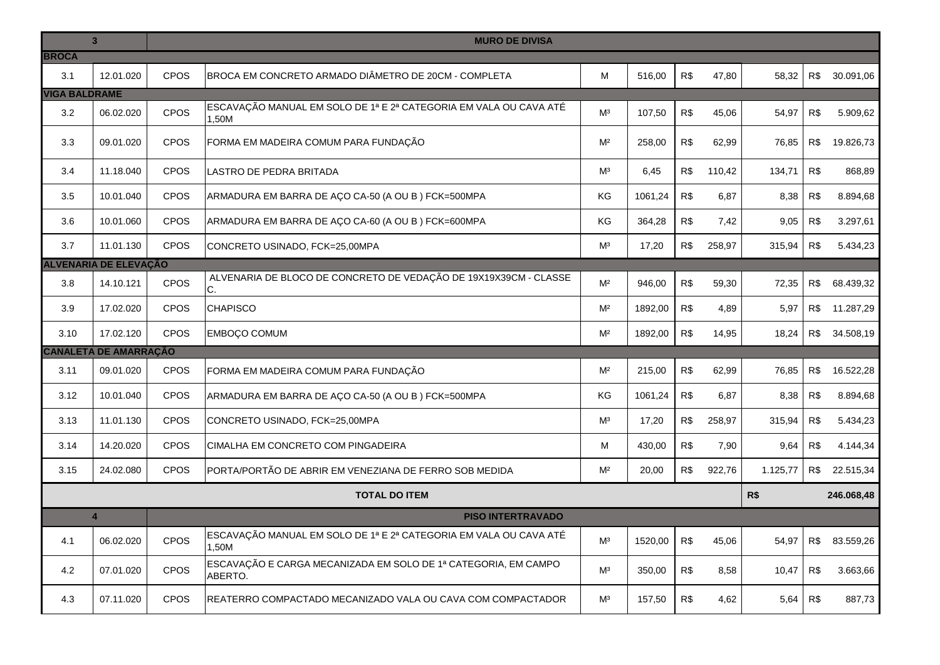|                      | $\overline{3}$               | <b>MURO DE DIVISA</b> |                                                                            |                |         |     |        |          |     |            |
|----------------------|------------------------------|-----------------------|----------------------------------------------------------------------------|----------------|---------|-----|--------|----------|-----|------------|
| <b>BROCA</b><br>3.1  | 12.01.020                    | <b>CPOS</b>           | BROCA EM CONCRETO ARMADO DIÂMETRO DE 20CM - COMPLETA                       | M              | 516,00  | R\$ | 47,80  | 58,32    | R\$ | 30.091,06  |
| <b>VIGA BALDRAME</b> |                              |                       |                                                                            |                |         |     |        |          |     |            |
| 3.2                  | 06.02.020                    | CPOS                  | ESCAVAÇÃO MANUAL EM SOLO DE 1ª E 2ª CATEGORIA EM VALA OU CAVA ATÉ<br>1.50M | M <sup>3</sup> | 107,50  | R\$ | 45,06  | 54,97    | R\$ | 5.909,62   |
| 3.3                  | 09.01.020                    | <b>CPOS</b>           | FORMA EM MADEIRA COMUM PARA FUNDAÇÃO                                       | M <sup>2</sup> | 258,00  | R\$ | 62,99  | 76,85    | R\$ | 19.826,73  |
| 3.4                  | 11.18.040                    | <b>CPOS</b>           | LASTRO DE PEDRA BRITADA                                                    | M <sup>3</sup> | 6,45    | R\$ | 110,42 | 134,71   | R\$ | 868,89     |
| 3.5                  | 10.01.040                    | <b>CPOS</b>           | ARMADURA EM BARRA DE AÇO CA-50 (A OU B ) FCK=500MPA                        | ΚG             | 1061,24 | R\$ | 6,87   | 8,38     | R\$ | 8.894,68   |
| 3.6                  | 10.01.060                    | CPOS                  | ARMADURA EM BARRA DE AÇO CA-60 (A OU B) FCK=600MPA                         | KG             | 364,28  | R\$ | 7,42   | 9,05     | R\$ | 3.297,61   |
| 3.7                  | 11.01.130                    | CPOS                  | CONCRETO USINADO, FCK=25,00MPA                                             | M <sup>3</sup> | 17,20   | R\$ | 258,97 | 315,94   | R\$ | 5.434,23   |
|                      | <b>ALVENARIA DE ELEVAÇÃO</b> |                       |                                                                            |                |         |     |        |          |     |            |
| 3.8                  | 14.10.121                    | CPOS                  | ALVENARIA DE BLOCO DE CONCRETO DE VEDAÇÃO DE 19X19X39CM - CLASSE<br>C.     | M <sup>2</sup> | 946,00  | R\$ | 59,30  | 72,35    | R\$ | 68.439,32  |
| 3.9                  | 17.02.020                    | CPOS                  | <b>CHAPISCO</b>                                                            | M <sup>2</sup> | 1892,00 | R\$ | 4,89   | 5,97     | R\$ | 11.287,29  |
| 3.10                 | 17.02.120                    | <b>CPOS</b>           | <b>EMBOÇO COMUM</b>                                                        | M <sup>2</sup> | 1892,00 | R\$ | 14,95  | 18,24    | R\$ | 34.508,19  |
|                      | <b>CANALETA DE AMARRAÇÃO</b> |                       |                                                                            |                |         |     |        |          |     |            |
| 3.11                 | 09.01.020                    | CPOS                  | FORMA EM MADEIRA COMUM PARA FUNDAÇÃO                                       | M <sup>2</sup> | 215,00  | R\$ | 62,99  | 76,85    | R\$ | 16.522,28  |
| 3.12                 | 10.01.040                    | CPOS                  | ARMADURA EM BARRA DE AÇO CA-50 (A OU B) FCK=500MPA                         | KG             | 1061,24 | R\$ | 6,87   | 8,38     | R\$ | 8.894,68   |
| 3.13                 | 11.01.130                    | <b>CPOS</b>           | CONCRETO USINADO, FCK=25,00MPA                                             | M <sup>3</sup> | 17,20   | R\$ | 258,97 | 315,94   | R\$ | 5.434,23   |
| 3.14                 | 14.20.020                    | <b>CPOS</b>           | CIMALHA EM CONCRETO COM PINGADEIRA                                         | M              | 430,00  | R\$ | 7,90   | 9,64     | R\$ | 4.144,34   |
| 3.15                 | 24.02.080                    | <b>CPOS</b>           | PORTA/PORTÃO DE ABRIR EM VENEZIANA DE FERRO SOB MEDIDA                     | M <sup>2</sup> | 20,00   | R\$ | 922,76 | 1.125,77 | R\$ | 22.515,34  |
|                      |                              |                       | <b>TOTAL DO ITEM</b>                                                       |                |         |     |        | R\$      |     | 246.068,48 |
|                      | $\overline{\mathbf{4}}$      |                       | <b>PISO INTERTRAVADO</b>                                                   |                |         |     |        |          |     |            |
| 4.1                  | 06.02.020                    | <b>CPOS</b>           | ESCAVAÇÃO MANUAL EM SOLO DE 1ª E 2ª CATEGORIA EM VALA OU CAVA ATÉ<br>1.50M | M <sup>3</sup> | 1520,00 | R\$ | 45,06  | 54,97    | R\$ | 83.559,26  |
| 4.2                  | 07.01.020                    | <b>CPOS</b>           | ESCAVAÇÃO E CARGA MECANIZADA EM SOLO DE 1ª CATEGORIA, EM CAMPO<br>ABERTO.  | M <sup>3</sup> | 350,00  | R\$ | 8,58   | 10,47    | R\$ | 3.663,66   |
| 4.3                  | 07.11.020                    | <b>CPOS</b>           | REATERRO COMPACTADO MECANIZADO VALA OU CAVA COM COMPACTADOR                | M <sup>3</sup> | 157,50  | R\$ | 4,62   | 5,64     | R\$ | 887,73     |